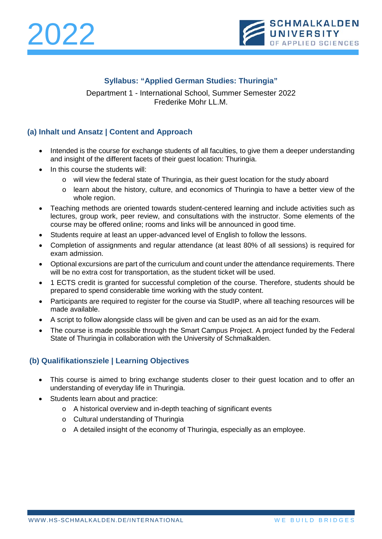



## **Syllabus: "Applied German Studies: Thuringia"**

Department 1 - International School, Summer Semester 2022 Frederike Mohr LL.M.

## **(a) Inhalt und Ansatz | Content and Approach**

- Intended is the course for exchange students of all faculties, to give them a deeper understanding and insight of the different facets of their guest location: Thuringia.
- In this course the students will:
	- o will view the federal state of Thuringia, as their guest location for the study aboard
	- o learn about the history, culture, and economics of Thuringia to have a better view of the whole region.
- Teaching methods are oriented towards student-centered learning and include activities such as lectures, group work, peer review, and consultations with the instructor. Some elements of the course may be offered online; rooms and links will be announced in good time.
- Students require at least an upper-advanced level of English to follow the lessons.
- Completion of assignments and regular attendance (at least 80% of all sessions) is required for exam admission.
- Optional excursions are part of the curriculum and count under the attendance requirements. There will be no extra cost for transportation, as the student ticket will be used.
- 1 ECTS credit is granted for successful completion of the course. Therefore, students should be prepared to spend considerable time working with the study content.
- Participants are required to register for the course via StudIP, where all teaching resources will be made available.
- A script to follow alongside class will be given and can be used as an aid for the exam.
- The course is made possible through the Smart Campus Project. A project funded by the Federal State of Thuringia in collaboration with the University of Schmalkalden.

### **(b) Qualifikationsziele | Learning Objectives**

- This course is aimed to bring exchange students closer to their guest location and to offer an understanding of everyday life in Thuringia.
- Students learn about and practice:
	- o A historical overview and in-depth teaching of significant events
	- o Cultural understanding of Thuringia
	- $\circ$  A detailed insight of the economy of Thuringia, especially as an employee.